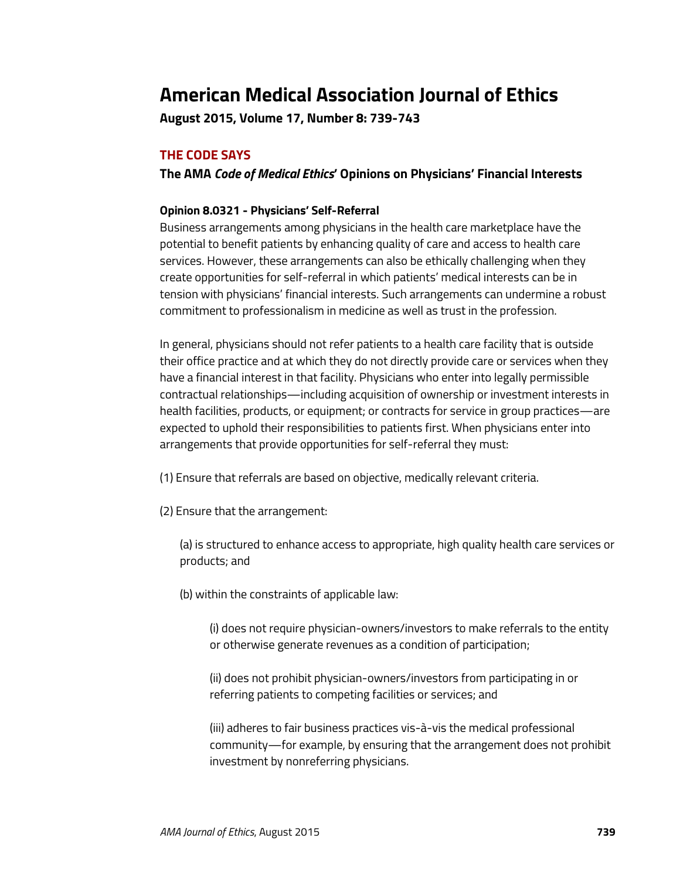# **American Medical Association Journal of Ethics**

**August 2015, Volume 17, Number 8: 739-743**

# **THE CODE SAYS**

**The AMA** *Code of Medical Ethics***' Opinions on Physicians' Financial Interests**

#### **Opinion 8.0321 - Physicians' Self-Referral**

Business arrangements among physicians in the health care marketplace have the potential to benefit patients by enhancing quality of care and access to health care services. However, these arrangements can also be ethically challenging when they create opportunities for self-referral in which patients' medical interests can be in tension with physicians' financial interests. Such arrangements can undermine a robust commitment to professionalism in medicine as well as trust in the profession.

In general, physicians should not refer patients to a health care facility that is outside their office practice and at which they do not directly provide care or services when they have a financial interest in that facility. Physicians who enter into legally permissible contractual relationships—including acquisition of ownership or investment interests in health facilities, products, or equipment; or contracts for service in group practices—are expected to uphold their responsibilities to patients first. When physicians enter into arrangements that provide opportunities for self-referral they must:

(1) Ensure that referrals are based on objective, medically relevant criteria.

(2) Ensure that the arrangement:

(a) is structured to enhance access to appropriate, high quality health care services or products; and

(b) within the constraints of applicable law:

(i) does not require physician-owners/investors to make referrals to the entity or otherwise generate revenues as a condition of participation;

(ii) does not prohibit physician-owners/investors from participating in or referring patients to competing facilities or services; and

(iii) adheres to fair business practices vis-à-vis the medical professional community—for example, by ensuring that the arrangement does not prohibit investment by nonreferring physicians.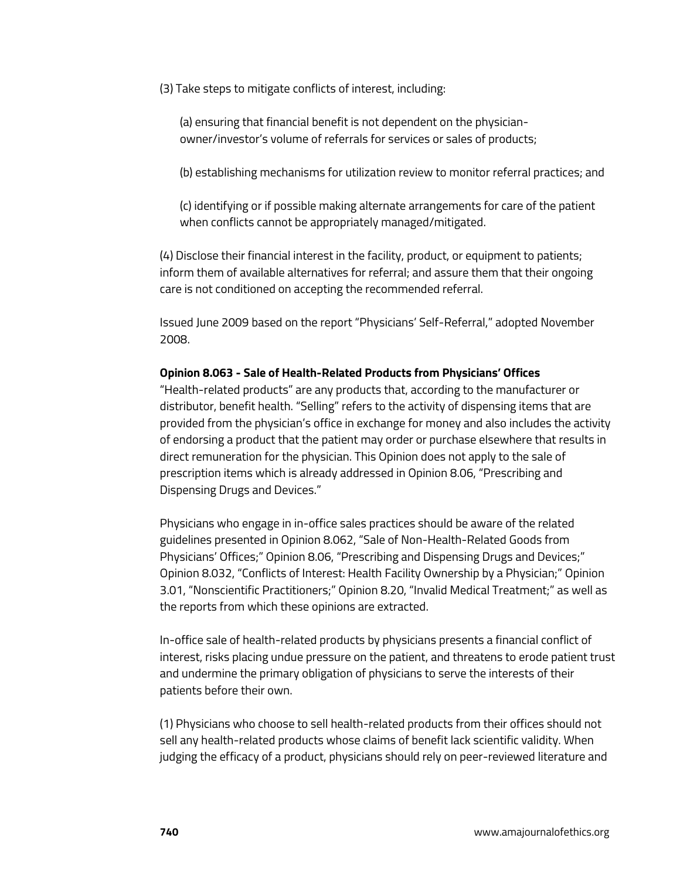(3) Take steps to mitigate conflicts of interest, including:

(a) ensuring that financial benefit is not dependent on the physicianowner/investor's volume of referrals for services or sales of products;

(b) establishing mechanisms for utilization review to monitor referral practices; and

(c) identifying or if possible making alternate arrangements for care of the patient when conflicts cannot be appropriately managed/mitigated.

(4) Disclose their financial interest in the facility, product, or equipment to patients; inform them of available alternatives for referral; and assure them that their ongoing care is not conditioned on accepting the recommended referral.

Issued June 2009 based on the report "Physicians' Self-Referral," adopted November 2008.

#### **Opinion 8.063 - Sale of Health-Related Products from Physicians' Offices**

"Health-related products" are any products that, according to the manufacturer or distributor, benefit health. "Selling" refers to the activity of dispensing items that are provided from the physician's office in exchange for money and also includes the activity of endorsing a product that the patient may order or purchase elsewhere that results in direct remuneration for the physician. This Opinion does not apply to the sale of prescription items which is already addressed in Opinion 8.06, "Prescribing and Dispensing Drugs and Devices."

Physicians who engage in in-office sales practices should be aware of the related guidelines presented in Opinion 8.062, "Sale of Non-Health-Related Goods from Physicians' Offices;" Opinion 8.06, "Prescribing and Dispensing Drugs and Devices;" Opinion 8.032, "Conflicts of Interest: Health Facility Ownership by a Physician;" Opinion 3.01, "Nonscientific Practitioners;" Opinion 8.20, "Invalid Medical Treatment;" as well as the reports from which these opinions are extracted.

In-office sale of health-related products by physicians presents a financial conflict of interest, risks placing undue pressure on the patient, and threatens to erode patient trust and undermine the primary obligation of physicians to serve the interests of their patients before their own.

(1) Physicians who choose to sell health-related products from their offices should not sell any health-related products whose claims of benefit lack scientific validity. When judging the efficacy of a product, physicians should rely on peer-reviewed literature and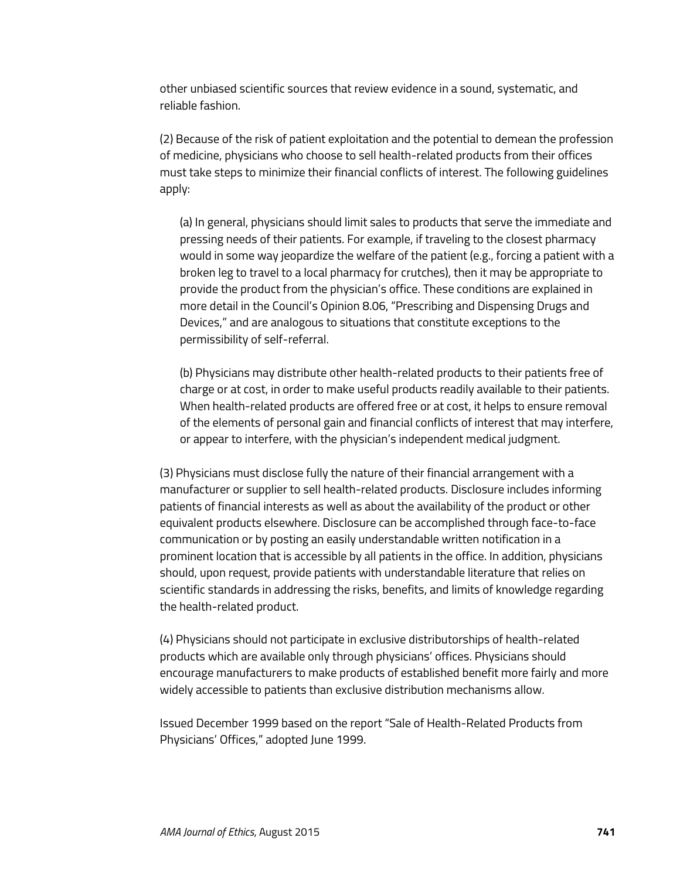other unbiased scientific sources that review evidence in a sound, systematic, and reliable fashion.

(2) Because of the risk of patient exploitation and the potential to demean the profession of medicine, physicians who choose to sell health-related products from their offices must take steps to minimize their financial conflicts of interest. The following guidelines apply:

(a) In general, physicians should limit sales to products that serve the immediate and pressing needs of their patients. For example, if traveling to the closest pharmacy would in some way jeopardize the welfare of the patient (e.g., forcing a patient with a broken leg to travel to a local pharmacy for crutches), then it may be appropriate to provide the product from the physician's office. These conditions are explained in more detail in the Council's Opinion 8.06, "Prescribing and Dispensing Drugs and Devices," and are analogous to situations that constitute exceptions to the permissibility of self-referral.

(b) Physicians may distribute other health-related products to their patients free of charge or at cost, in order to make useful products readily available to their patients. When health-related products are offered free or at cost, it helps to ensure removal of the elements of personal gain and financial conflicts of interest that may interfere, or appear to interfere, with the physician's independent medical judgment.

(3) Physicians must disclose fully the nature of their financial arrangement with a manufacturer or supplier to sell health-related products. Disclosure includes informing patients of financial interests as well as about the availability of the product or other equivalent products elsewhere. Disclosure can be accomplished through face-to-face communication or by posting an easily understandable written notification in a prominent location that is accessible by all patients in the office. In addition, physicians should, upon request, provide patients with understandable literature that relies on scientific standards in addressing the risks, benefits, and limits of knowledge regarding the health-related product.

(4) Physicians should not participate in exclusive distributorships of health-related products which are available only through physicians' offices. Physicians should encourage manufacturers to make products of established benefit more fairly and more widely accessible to patients than exclusive distribution mechanisms allow.

Issued December 1999 based on the report "Sale of Health-Related Products from Physicians' Offices," adopted June 1999.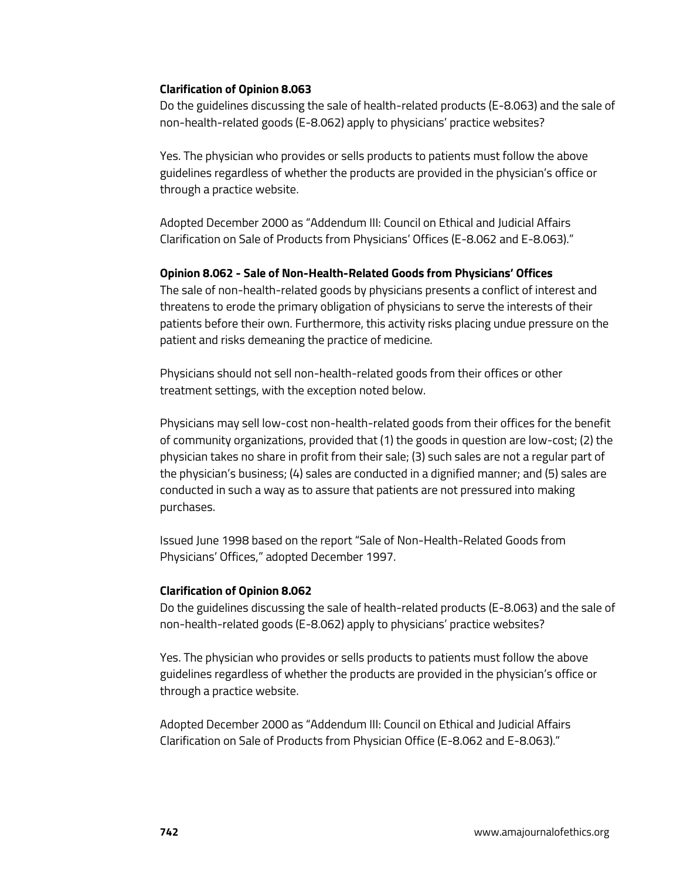### **Clarification of Opinion 8.063**

Do the guidelines discussing the sale of health-related products (E-8.063) and the sale of non-health-related goods (E-8.062) apply to physicians' practice websites?

Yes. The physician who provides or sells products to patients must follow the above guidelines regardless of whether the products are provided in the physician's office or through a practice website.

Adopted December 2000 as "Addendum III: Council on Ethical and Judicial Affairs Clarification on Sale of Products from Physicians' Offices (E-8.062 and E-8.063)."

#### **Opinion 8.062 - Sale of Non-Health-Related Goods from Physicians' Offices**

The sale of non-health-related goods by physicians presents a conflict of interest and threatens to erode the primary obligation of physicians to serve the interests of their patients before their own. Furthermore, this activity risks placing undue pressure on the patient and risks demeaning the practice of medicine.

Physicians should not sell non-health-related goods from their offices or other treatment settings, with the exception noted below.

Physicians may sell low-cost non-health-related goods from their offices for the benefit of community organizations, provided that (1) the goods in question are low-cost; (2) the physician takes no share in profit from their sale; (3) such sales are not a regular part of the physician's business; (4) sales are conducted in a dignified manner; and (5) sales are conducted in such a way as to assure that patients are not pressured into making purchases.

Issued June 1998 based on the report "Sale of Non-Health-Related Goods from Physicians' Offices," adopted December 1997.

## **Clarification of Opinion 8.062**

Do the guidelines discussing the sale of health-related products (E-8.063) and the sale of non-health-related goods (E-8.062) apply to physicians' practice websites?

Yes. The physician who provides or sells products to patients must follow the above guidelines regardless of whether the products are provided in the physician's office or through a practice website.

Adopted December 2000 as "Addendum III: Council on Ethical and Judicial Affairs Clarification on Sale of Products from Physician Office (E-8.062 and E-8.063)."